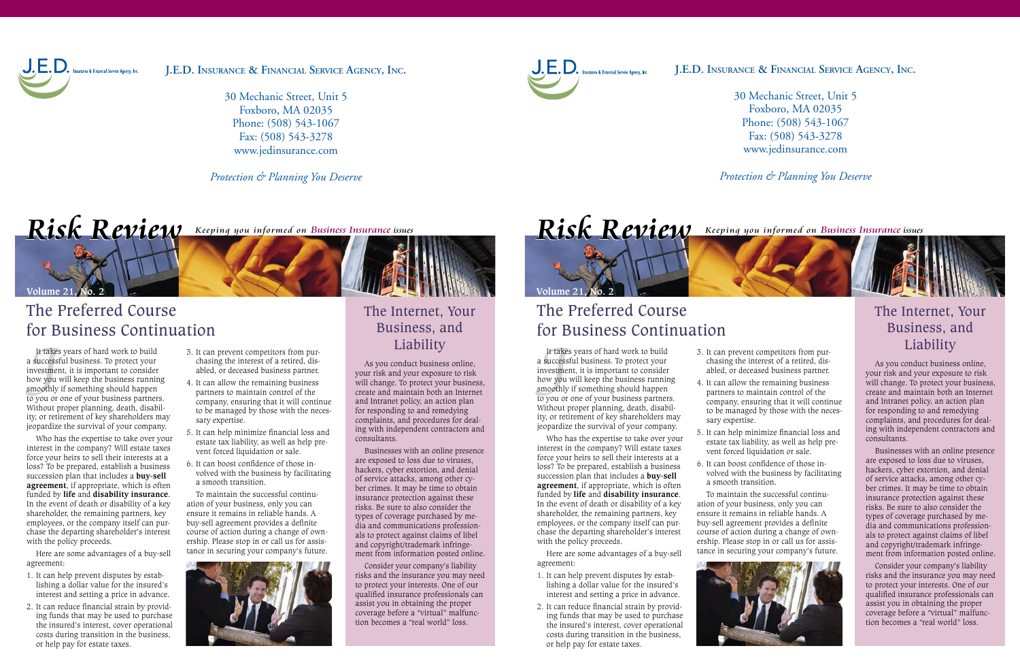

**J.E.D. Insurance & Financial Service Agency, Inc.**

30 Mechanic Street, Unit 5 Foxboro, MA 02035 Phone: (508) 543-1067 Fax: (508) 543-3278 www.jedinsurance.com

*Protection & Planning You Deserve*

# $Risk$ *Review Keeping you informed on Business Insurance issues*



## The Preferred Course for Business Continuation

It take:<br>success<br>ivestme:<br>ow you<br>moothly<br>i you or It takes years of hard work to build  $\qquad \qquad$  3. It can prevent competitors from pur-  $\qquad \qquad$   $\qquad$   $\qquad$   $\qquad$   $\qquad$   $\qquad$   $\qquad$   $\qquad$   $\qquad$   $\qquad$   $\qquad$   $\qquad$   $\qquad$   $\qquad$   $\qquad$   $\qquad$   $\qquad$   $\qquad$   $\qquad$   $\qquad$   $\qquad$   $\qquad$  a successful business. To protect your investment, it is important to consider how you will keep the business running smoothly if something should happen to you or one of your business partners. Without proper planning, death, disability, or retirement of key shareholders may jeopardize the survival of your company.

Who has the expertise to take over your interest in the company? Will estate taxes force your heirs to sell their interests at a loss? To be prepared, establish a business succession plan that includes a **buy-sell agreement**, if appropriate, which is often funded by **life** and **disability insurance**. In the event of death or disability of a key shareholder, the remaining partners, key employees, or the company itself can purchase the departing shareholder's interest with the policy proceeds.

Here are some advantages of a buy-sell agreement:

- 1. It can help prevent disputes by establishing a dollar value for the insured's interest and setting a price in advance.
- 2. It can reduce financial strain by providing funds that may be used to purchase the insured's interest, cover operational costs during transition in the business, or help pay for estate taxes.
- 3. It can prevent competitors from purchasing the interest of a retired, disabled, or deceased business partner.
- 4. It can allow the remaining business partners to maintain control of the company, ensuring that it will continue to be managed by those with the necessary expertise.
- 5. It can help minimize financial loss and estate tax liability, as well as help prevent forced liquidation or sale.
- 6. It can boost confidence of those involved with the business by facilitating a smooth transition.

To maintain the successful continuation of your business, only you can ensure it remains in reliable hands. A buy-sell agreement provides a definite course of action during a change of ownership. Please stop in or call us for assistance in securing your company's future.



# The Internet, Your Business, and

As you conduct business online, your risk and your exposure to risk will change. To protect your business, create and maintain both an Internet and Intranet policy, an action plan for responding to and remedying complaints, and procedures for dealing with independent contractors and consultants.

Businesses with an online presence are exposed to loss due to viruses, hackers, cyber extortion, and denial of service attacks, among other cyber crimes. It may be time to obtain insurance protection against these risks. Be sure to also consider the types of coverage purchased by media and communications professionals to protect against claims of libel and copyright/trademark infringement from information posted online.

Consider your company's liability risks and the insurance you may need to protect your interests. One of our qualified insurance professionals can assist you in obtaining the proper coverage before a "virtual" malfunction becomes a "real world" loss.